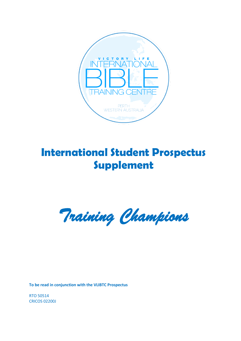

# **International Student Prospectus Supplement**

*Training Champions* 

**To be read in conjunction with the VLIBTC Prospectus**

RTO 50514 CRICOS 02200J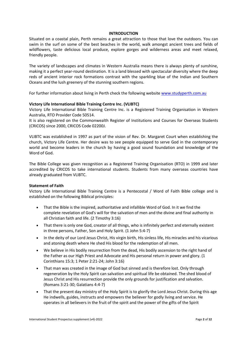#### **INTRODUCTION**

Situated on a coastal plain, Perth remains a great attraction to those that love the outdoors. You can swim in the surf on some of the best beaches in the world, walk amongst ancient trees and fields of wildflowers, taste delicious local produce, explore gorges and wilderness areas and meet relaxed, friendly people.

The variety of landscapes and climates in Western Australia means there is always plenty of sunshine, making it a perfect year-round destination. It is a land blessed with spectacular diversity where the deep reds of ancient interior rock formations contrast with the sparkling blue of the Indian and Southern Oceans and the lush greenery of the stunning southern regions.

For further information about living in Perth check the following websit[e www.studyperth.com.au](http://www.studyperth.com.au/)

#### **Victory Life International Bible Training Centre Inc. (VLIBTC)**

Victory Life International Bible Training Centre Inc. is a Registered Training Organisation in Western Australia, RTO Provider Code 50514.

It is also registered on the Commonwealth Register of Institutions and Courses for Overseas Students (CRICOS) since 2000, CRICOS Code 02200J.

VLIBTC was established in 1997 as part of the vision of Rev. Dr. Margaret Court when establishing the church, Victory Life Centre. Her desire was to see people equipped to serve God in the contemporary world and become leaders in the church by having a good sound foundation and knowledge of the Word of God.

The Bible College was given recognition as a Registered Training Organisation (RTO) in 1999 and later accredited by CRICOS to take international students. Students from many overseas countries have already graduated from VLIBTC.

#### **Statement of Faith**

Victory Life International Bible Training Centre is a Pentecostal / Word of Faith Bible college and is established on the following Biblical principles:

- That the Bible is the inspired, authoritative and infallible Word of God. In it we find the complete revelation of God's will for the salvation of men and the divine and final authority in all Christian faith and life. (2 Timothy 3:16)
- That there is only one God, creator of all things, who is infinitely perfect and eternally existent in three persons, Father, Son and Holy Spirit. (1 John 5:4-7)
- In the deity of our Lord Jesus Christ, His virgin birth, His sinless life, His miracles and his vicarious and atoning death where He shed His blood for the redemption of all men.
- We believe in His bodily resurrection from the dead, His bodily ascension to the right hand of the Father as our High Priest and Advocate and His personal return in power and glory. (1 Corinthians 15:3; 1 Peter 2:21-24; John 3:16)
- That man was created in the image of God but sinned and is therefore lost. Only through regeneration by the Holy Spirit can salvation and spiritual life be obtained. The shed blood of Jesus Christ and His resurrection provide the only grounds for justification and salvation. (Romans 3:21-30; Galatians 4:4-7)
- That the present day ministry of the Holy Spirit is to glorify the Lord Jesus Christ. During this age He indwells, guides, instructs and empowers the believer for godly living and service. He operates in all believers in the fruit of the spirit and the power of the gifts of the Spirit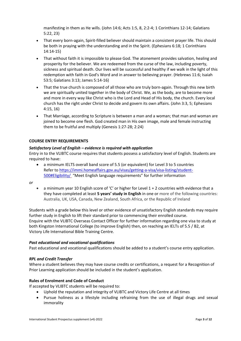manifesting in them as He wills. (John 14:6; Acts 1:5, 8, 2:2-4; 1 Corinthians 12-14; Galatians 5:22, 23)

- That every born-again, Spirit-filled believer should maintain a consistent prayer life. This should be both in praying with the understanding and in the Spirit. (Ephesians 6:18; 1 Corinthians 14:14-15)
- That without faith it is impossible to please God. The atonement provides salvation, healing and prosperity for the believer. We are redeemed from the curse of the law, including poverty, sickness and spiritual death. Our lives will be successful and healthy if we walk in the light of this redemption with faith in God's Word and in answer to believing prayer. (Hebrews 11:6; Isaiah 53:5; Galatians 3:13; James 5:14-16)
- That the true church is composed of all those who are truly born-again. Through this new birth we are spiritually united together in the body of Christ. We, as the body, are to become more and more in every way like Christ who is the Lord and Head of His body, the church. Every local church has the right under Christ to decide and govern its own affairs. (John 3:3, 5; Ephesians 4:15, 16)
- That Marriage, according to Scripture is between a man and a woman; that man and woman are joined to become one flesh. God created man in His own image, male and female instructing them to be fruitful and multiply (Genesis 1:27-28; 2:24)

# **COURSE ENTRY REQUIREMENTS**

# *Satisfactory Level of English – evidence is required with application*

Entry in to the VLIBTC course requires that students possess a satisfactory level of English. Students are required to have:

 a minimum IELTS overall band score of 5.5 (or equivalent) for Level 3 to 5 countries Refer to [https://immi.homeaffairs.gov.au/visas/getting-a-visa/visa-listing/student-](https://immi.homeaffairs.gov.au/visas/getting-a-visa/visa-listing/student-500#Eligibility/)[500#Eligibility/](https://immi.homeaffairs.gov.au/visas/getting-a-visa/visa-listing/student-500#Eligibility/) "Meet English language requirements" for further information

*or* 

 a minimum year 10 English score of 'C' or higher for Level 1 + 2 countries with evidence that a they have completed at least **5 years' study in English** in one or more of the following countries: Australia, UK, USA, Canada, New Zealand, South Africa, or the Republic of Ireland

Students with a grade below this level or other evidence of unsatisfactory English standards may require further study in English to lift their standard prior to commencing their enrolled course. Enquire with the VLIBTC Overseas Contact Officer for further information regarding one visa to study at both Kingston International College (to improve English) then, on reaching an IELTs of 5.5 / B2, at Victory Life International Bible Training Centre.

# *Past educational and vocational qualifications*

Past educational and vocational qualifications should be added to a student's course entry application.

# *RPL and Credit Transfer*

Where a student believes they may have course credits or certifications, a request for a Recognition of Prior Learning application should be included in the student's application.

# **Rules of Enrolment and Code of Conduct**

If accepted by VLIBTC students will be required to:

- Uphold the reputation and integrity of VLIBTC and Victory Life Centre at all times
- Pursue holiness as a lifestyle including refraining from the use of illegal drugs and sexual immorality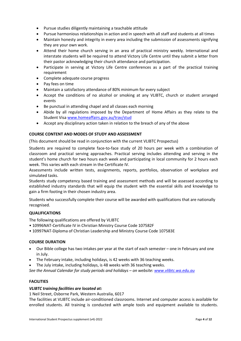- Pursue studies diligently maintaining a teachable attitude
- Pursue harmonious relationships in action and in speech with all staff and students at all times
- Maintain honesty and integrity in every area including the submission of assessments signifying they are your own work.
- Attend their home church serving in an area of practical ministry weekly. International and interstate students will be required to attend Victory Life Centre until they submit a letter from their pastor acknowledging their church attendance and participation.
- Participate in serving at Victory Life Centre conferences as a part of the practical training requirement
- Complete adequate course progress
- Pay fees on time
- Maintain a satisfactory attendance of 80% minimum for every subject
- Accept the conditions of no alcohol or smoking at any VLIBTC, church or student arranged events
- Be punctual in attending chapel and all classes each morning
- Abide by all regulations imposed by the Department of Home Affairs as they relate to the Student Vis[a www.homeaffairs.gov.au/trav/stud](http://www.homeaffairs.gov.au/trav/stud)
- Accept any disciplinary action taken in relation to the breach of any of the above

# **COURSE CONTENT AND MODES OF STUDY AND ASSESSMENT**

(This document should be read in conjunction with the current VLIBTC Prospectus)

Students are required to complete face-to-face study of 20 hours per week with a combination of classroom and practical serving approaches. Practical serving includes attending and serving in the student's home church for two hours each week and participating in local community for 2 hours each week. This varies with each stream in the Certificate IV.

Assessments include written tests, assignments, reports, portfolios, observation of workplace and simulated tasks.

Students study competency based training and assessment methods and will be assessed according to established industry standards that will equip the student with the essential skills and knowledge to gain a firm footing in their chosen industry area.

Students who successfully complete their course will be awarded with qualifications that are nationally recognised.

# **QUALIFICATIONS**

The following qualifications are offered by VLIBTC

- 10996NAT-Certificate IV in Christian Ministry Course Code 107582F
- 10997NAT-Diploma of Christian Leadership and Ministry Course Code 107583E

# **COURSE DURATION**

- Our Bible college has two intakes per year at the start of each semester one in February and one in July.
- The February intake, including holidays, is 42 weeks with 36 teaching weeks.
- The July intake, including holidays, is 48 weeks with 36 teaching weeks.

*See the Annual Calendar for study periods and holidays – on website: [www.vlibtc.wa.edu.au](http://www.vlibtc.wa.edu.au/)*

# **FACILITIES**

# *VLIBTC training facilities are located at:*

1 Neil Street, Osborne Park, Western Australia, 6017

The facilities at VLIBTC include air-conditioned classrooms. Internet and computer access is available for enrolled students. All training is conducted with ample tools and equipment available to students.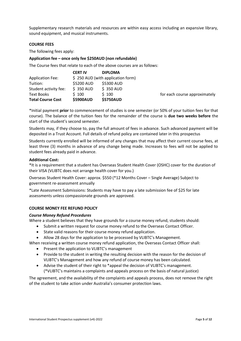Supplementary research materials and resources are within easy access including an expansive library, sound equipment, and musical instruments.

#### **COURSE FEES**

The following fees apply:

# **Application fee – once only fee \$250AUD (non refundable)**

The Course fees that relate to each of the above courses are as follows:

|                          | <b>CERT IV</b>                    | <b>DIPLOMA</b>   |                               |
|--------------------------|-----------------------------------|------------------|-------------------------------|
| <b>Application Fee:</b>  | \$250 AUD (with application form) |                  |                               |
| Tuition:                 | \$5200 AUD                        | \$5300 AUD       |                               |
| Student activity fee:    | $$350$ AUD                        | \$350 AUD        |                               |
| Text Books               | \$100                             | \$100            | for each course approximately |
| <b>Total Course Cost</b> | <b>\$5900AUD</b>                  | <b>\$5750AUD</b> |                               |

\*Initial payment **prior** to commencement of studies is one semester (or 50% of your tuition fees for that course). The balance of the tuition fees for the remainder of the course is **due two weeks before** the start of the student's second semester.

Students may, if they choose to, pay the full amount of fees in advance. Such advanced payment will be deposited in a Trust Account. Full details of refund policy are contained later in this prospectus

Students currently enrolled will be informed of any changes that may affect their current course fees, at least three (3) months in advance of any change being made. Increases to fees will not be applied to student fees already paid in advance.

#### **Additional Cost:**

\*It is a requirement that a student has Overseas Student Health Cover (OSHC) cover for the duration of their VISA (VLIBTC does not arrange health cover for you.)

Overseas Student Health Cover: approx. \$550 (\*12 Months Cover – Single Average) Subject to government re-assessment annually

\*Late Assessment Submissions: Students may have to pay a late submission fee of \$25 for late assessments unless compassionate grounds are approved.

# **COURSE MONEY FEE REFUND POLICY**

#### *Course Money Refund Procedures*

Where a student believes that they have grounds for a course money refund, students should:

- Submit a written request for course money refund to the Overseas Contact Officer.
- State valid reasons for their course money refund application.
- Allow 28 days for the application to be processed by VLIBTC's Management.

When receiving a written course money refund application, the Overseas Contact Officer shall:

- Present the application to VLIBTC's management
- Provide to the student in writing the resulting decision with the reason for the decision of VLIBTC's Management and how any refund of course money has been calculated.
- Advise the student of their right to \*appeal the decision of VLIBTC's management. (\*VLIBTC's maintains a complaints and appeals process on the basis of natural justice)

The agreement, and the availability of the complaints and appeals process, does not remove the right of the student to take action under Australia's consumer protection laws.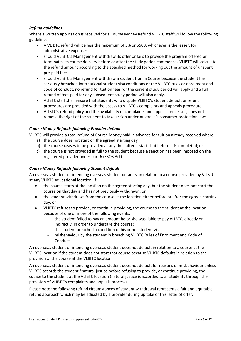# *Refund guidelines*

Where a written application is received for a Course Money Refund VLIBTC staff will follow the following guidelines:

- A VLIBTC refund will be less the maximum of 5% or \$500, whichever is the lesser, for administrative expenses.
- should VLIBTC's Management withdraw its offer or fails to provide the program offered or terminates its course delivery before or after the study period commences VLIBTC will calculate the refund amount according to the specified method for working out the amount of unspent pre-paid fees.
- should VLIBTC's Management withdraw a student from a Course because the student has seriously breached international student visa conditions or the VLIBTC rules or enrolment and code of conduct, no refund for tuition fees for the current study period will apply and a full refund of fees paid for any subsequent study period will also apply.
- VLIBTC staff shall ensure that students who dispute VLIBTC's student default or refund procedures are provided with the access to VLIBTC's complaints and appeals procedure.
- VLIBTC's refund policy and the availability of complaints and appeals processes, does not remove the right of the student to take action under Australia's consumer protection laws.

# *Course Money Refunds following Provider default*

VLIBTC will provide a total refund of Course Money paid in advance for tuition already received where:

- a) the course does not start on the agreed starting day
- b) the course ceases to be provided at any time after it starts but before it is completed; or
- c) the course is not provided in full to the student because a sanction has been imposed on the registered provider under part 6 (ESOS Act)

#### *Course Money Refunds following Student default*

An overseas student or intending overseas student defaults, in relation to a course provided by VLIBTC at any VLIBTC educational location, if:

- the course starts at the location on the agreed starting day, but the student does not start the course on that day and has not previously withdrawn; or
- the student withdraws from the course at the location either before or after the agreed starting day; or
- VLIBTC refuses to provide, or continue providing, the course to the student at the location because of one or more of the following events:
	- the student failed to pay an amount he or she was liable to pay VLIBTC, directly or indirectly, in order to undertake the course;
	- the student breached a condition of his or her student visa;
	- misbehaviour by the student in breaching VLIBTC Rules of Enrolment and Code of Conduct

An overseas student or intending overseas student does not default in relation to a course at the VLIBTC location if the student does not start that course because VLIBTC defaults in relation to the provision of the course at the VLIBTC location.

An overseas student or intending overseas student does not default for reasons of misbehaviour unless VLIBTC accords the student \*natural justice before refusing to provide, or continue providing, the course to the student at the VLIBTC location (natural justice is accorded to all students through the provision of VLIBTC's complaints and appeals process)

Please note the following refund circumstances of student withdrawal represents a fair and equitable refund approach which may be adjusted by a provider during up take of this letter of offer.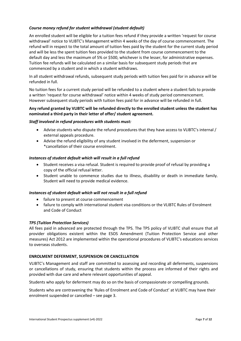# *Course money refund for student withdrawal (student default)*

An enrolled student will be eligible for a tuition fees refund if they provide a written 'request for course withdrawal' notice to VLIBTC's Management within 4 weeks of the day of course commencement. The refund will in respect to the total amount of tuition fees paid by the student for the current study period and will be less the spent tuition fees provided to the student from course commencement to the default day and less the maximum of 5% or \$500, whichever is the lesser, for administrative expenses. Tuition fee refunds will be calculated on a similar basis for subsequent study periods that are commenced by a student and in which a student withdraws.

In all student withdrawal refunds, subsequent study periods with tuition fees paid for in advance will be refunded in full.

No tuition fees for a current study period will be refunded to a student where a student fails to provide a written 'request for course withdrawal' notice within 4 weeks of study period commencement. However subsequent study periods with tuition fees paid for in advance will be refunded in full.

# **Any refund granted by VLIBTC will be refunded directly to the enrolled student unless the student has nominated a third party in their letter of offer/ student agreement.**

#### *Staff involved in refund procedures with students must:*

- Advise students who dispute the refund procedures that they have access to VLIBTC's internal / external appeals procedure.
- Advise the refund eligibility of any student involved in the deferment, suspension or \*cancellation of their course enrolment.

#### *Instances of student default which will result in a full refund*

- Student receives a visa refusal. Student is required to provide proof of refusal by providing a copy of the official refusal letter.
- Student unable to commence studies due to illness, disability or death in immediate family. Student will need to provide medical evidence.

#### *Instances of student default which will not result in a full refund*

- failure to present at course commencement
- failure to comply with international student visa conditions or the VLIBTC Rules of Enrolment and Code of Conduct

# *TPS (Tuition Protection Services)*

All fees paid in advanced are protected through the TPS. The TPS policy of VLIBTC shall ensure that all provider obligations existent within the ESOS Amendment (Tuition Protection Service and other measures) Act 2012 are implemented within the operational procedures of VLIBTC's educations services to overseas students.

# **ENROLMENT DEFERMENT, SUSPENSION OR CANCELLATION**

VLIBTC's Management and staff are committed to assessing and recording all deferments, suspensions or cancellations of study, ensuring that students within the process are informed of their rights and provided with due care and where relevant opportunities of appeal.

Students who apply for deferment may do so on the basis of compassionate or compelling grounds.

Students who are contravening the 'Rules of Enrolment and Code of Conduct' at VLIBTC may have their enrolment suspended or cancelled – see page 3.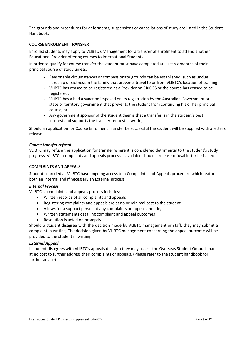The grounds and procedures for deferments, suspensions or cancellations of study are listed in the Student Handbook.

#### **COURSE ENROLMENT TRANSFER**

Enrolled students may apply to VLIBTC's Management for a transfer of enrolment to attend another Educational Provider offering courses to International Students.

In order to qualify for course transfer the student must have completed at least six months of their principal course of study unless:

- Reasonable circumstances or compassionate grounds can be established, such as undue hardship or sickness in the family that prevents travel to or from VLIBTC's location of training
- VLIBTC has ceased to be registered as a Provider on CRICOS or the course has ceased to be registered.
- VLIBTC has a had a sanction imposed on its registration by the Australian Government or state or territory government that prevents the student from continuing his or her principal course, or
- Any government sponsor of the student deems that a transfer is in the student's best interest and supports the transfer request in writing.

Should an application for Course Enrolment Transfer be successful the student will be supplied with a letter of release.

#### *Course transfer refusal*

VLIBTC may refuse the application for transfer where it is considered detrimental to the student's study progress. VLIBTC's complaints and appeals process is available should a release refusal letter be issued.

#### **COMPLAINTS AND APPEALS**

Students enrolled at VLIBTC have ongoing access to a Complaints and Appeals procedure which features both an Internal and if necessary an External process

#### *Internal Process*

VLIBTC's complaints and appeals process includes:

- Written records of all complaints and appeals
- Registering complaints and appeals are at no or minimal cost to the student
- Allows for a support person at any complaints or appeals meetings
- Written statements detailing complaint and appeal outcomes
- Resolution is acted on promptly

Should a student disagree with the decision made by VLIBTC management or staff, they may submit a complaint in writing. The decision given by VLIBTC management concerning the appeal outcome will be provided to the student in writing.

#### *External Appeal*

If student disagrees with VLIBTC's appeals decision they may access the Overseas Student Ombudsman at no cost to further address their complaints or appeals. (Please refer to the student handbook for further advice)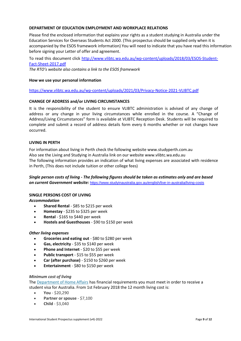# **DEPARTMENT OF EDUCATION EMPLOYMENT AND WORKPLACE RELATIONS**

Please find the enclosed information that explains your rights as a student studying in Australia under the Education Services for Overseas Students Act 2000. (This prospectus should be supplied only when it is accompanied by the ESOS framework information) You will need to indicate that you have read this information before signing your Letter of offer and agreement.

To read this document click [http://www.vlibtc.wa.edu.au/wp-content/uploads/2018/03/ESOS-Student-](http://www.vlibtc.wa.edu.au/wp-content/uploads/2018/03/ESOS-Student-Fact-Sheet-2017.pdf)[Fact-Sheet-2017.pdf](http://www.vlibtc.wa.edu.au/wp-content/uploads/2018/03/ESOS-Student-Fact-Sheet-2017.pdf) *The RTO's website also contains a link to the ESOS framework*

# **How we use your personal information**

<https://www.vlibtc.wa.edu.au/wp-content/uploads/2021/03/Privacy-Notice-2021-VLIBTC.pdf>

#### **CHANGE OF ADDRESS and/or LIVING CIRCUMSTANCES**

It is the responsibility of the student to ensure VLIBTC administration is advised of any change of address or any change in your living circumstances while enrolled in the course. A "Change of Address/Living Circumstances" form is available at VLIBTC Reception Desk. Students will be required to complete and submit a record of address details form every 6 months whether or not changes have occurred.

#### **LIVING IN PERTH**

For information about living in Perth check the following website www.studyperth.com.au Also see the Living and Studying in Australia link on our website www.vlibtc.wa.edu.au The following information provides an indication of what living expenses are associated with residence in Perth, (This does not include tuition or other college fees)

# *Single person costs of living - The following figures should be taken as estimates only and are based on current Government website:* <https://www.studyinaustralia.gov.au/english/live-in-australia/living-costs>

# **SINGLE PERSONS COST OF LIVING**

*Accommodation*

- **Shared Rental** \$85 to \$215 per week
- **Homestay** \$235 to \$325 per week
- **Rental** \$165 to \$440 per week
- **Hostels and Guesthouses** \$90 to \$150 per week

#### *Other living expenses*

- **Groceries and eating out** \$80 to \$280 per week
- **Gas, electricity** \$35 to \$140 per week
- **Phone and Internet** \$20 to \$55 per week
- **Public transport** \$15 to \$55 per week
- **Car (after purchase)** \$150 to \$260 per week
- **Entertainment** \$80 to \$150 per week

#### *Minimum cost of living*

The [Department of Home Affairs](https://www.homeaffairs.gov.au/trav/stud/more/student-visa-living-costs-and-evidence-of-funds) has financial requirements you must meet in order to receive a student visa for Australia. From 1st February 2018 the 12 month living cost is:

- **You** \$20,290
- **Partner or spouse** \$7,100
- **Child** \$3,040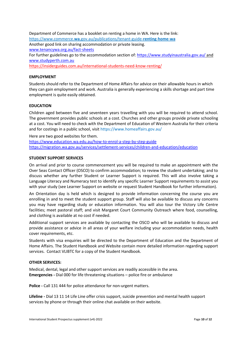Department of Commerce has a booklet on renting a home in WA. Here is the link: https://www.commerce.**wa**[.gov.au/publications/tenant-guide-](https://www.commerce.wa.gov.au/publications/tenant-guide-renting-home-wa)**renting**-**home**-**wa** Another good link on sharing accommodation or private leasing. [www.tenancywa.org.au/fact-sheets](http://www.tenancywa.org.au/fact-sheets) For further guidelines go to the accommodation section of[: https://www.studyinaustralia.gov.au/](https://www.studyinaustralia.gov.au/) and [www.studyperth.com.au](http://www.studyperth.com.au/) <https://insiderguides.com.au/international-students-need-know-renting/>

#### **EMPLOYMENT**

Students should refer to the Department of Home Affairs for advice on their allowable hours in which they can gain employment and work. Australia is generally experiencing a skills shortage and part time employment is quite easily obtained.

#### **EDUCATION**

Children aged between five and seventeen years travelling with you will be required to attend school. The government provides public schools at a cost. Churches and other groups provide private schooling at a cost. You will need to check with the Department of Education of Western Australia for their criteria and for costings in a public school, visit https://www.homeaffairs.gov.au/

Here are two good websites for them.

<https://www.education.wa.edu.au/how-to-enrol-a-step-by-step-guide> <https://migration.wa.gov.au/services/settlement-services/children-and-education/education>

#### **STUDENT SUPPORT SERVICES**

On arrival and prior to course commencement you will be required to make an appointment with the Over Seas Contact Officer (OSCO) to confirm accommodation; to review the student undertaking; and to discuss whether any further Student or Learner Support is required. This will also involve taking a Language Literacy and Numeracy test to identify any specific Learner Support requirements to assist you with your study (see Learner Support on website or request Student Handbook for further information).

An Orientation day is held which is designed to provide information concerning the course you are enrolling in and to meet the student support group. Staff will also be available to discuss any concerns you may have regarding study or education information. You will also tour the Victory Life Centre facilities; meet pastoral staff; and visit Margaret Court Community Outreach where food, counselling, and clothing is available at no cost if needed.

Additional support services are available by contacting the OSCO who will be available to discuss and provide assistance or advice in all areas of your welfare including your accommodation needs, health cover requirements, etc.

Students with visa enquiries will be directed to the Department of Education and the Department of Home Affairs. The Student Handbook and Website contain more detailed information regarding support services. Contact VLIBTC for a copy of the Student Handbook.

#### **OTHER SERVICES:**

Medical, dental, legal and other support services are readily accessible in the area. **Emergencies -** Dial 000 for life threatening situations – police fire or ambulance

**Police -** Call 131 444 for police attendance for non-urgent matters.

**Lifeline -** Dial 13 11 14 Life Line offer crisis support, suicide prevention and mental health support services by phone or through their online chat available on their website.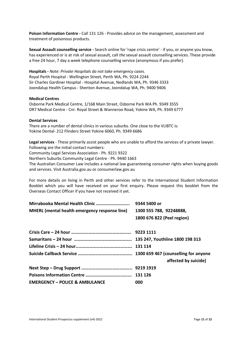**Poison Information Centre -** Call 131 126 - Provides advice on the management, assessment and treatment of poisonous products.

**Sexual Assault counselling service -** Search online for 'rape crisis centre' - if you, or anyone you know, has experienced or is at risk of sexual assault, call *the* sexual assault counselling services. These provide a free 24 hour, 7 day a week telephone counselling service (anonymous if you prefer).

**Hospitals -** *Note: Private Hospitals do not take emergency cases.* Royal Perth Hospital - Wellington Street, Perth WA, Ph. 9224 2244 Sir Charles Gardiner Hospital - Hospital Avenue, Nedlands WA, Ph. 9346 3333 Joondalup Health Campus - Shenton Avenue, Joondalup WA, Ph. 9400 9406

#### **Medical Centres**

Osborne Park Medical Centre, 1/168 Main Street, Osborne Park WA Ph. 9349 3555 DR7 Medical Centre - Cnr. Royal Street & Wanneroo Road, Yokine WA, Ph. 9349 6777

#### **Dental Services**

There are a number of dental clinics in various suburbs. One close to the VLIBTC is: Yokine Dental- 212 Flinders Street Yokine 6060, Ph. 9349 6686

**Legal services** - These primarily assist people who are unable to afford the services of a private lawyer. Following are the initial contact numbers:

Community Legal Services Association - Ph. 9221 9322

Northern Suburbs Community Legal Centre - Ph. 9440 1663

The Australian Consumer Law includes a national law guaranteeing consumer rights when buying goods and services. Visit Australia.gov.au or consumerlaw.gov.au

For more details on living in Perth and other services refer to the International Student Information Booklet which you will have received on your first enquiry. Please request this booklet from the Overseas Contact Officer if you have not received it yet.

|                                               | 9344 5400 or               |
|-----------------------------------------------|----------------------------|
| MHERL (mental health emergency response line) | 1300 555 788, 92248888,    |
|                                               | 1800 676 822 (Peel region) |
|                                               |                            |
|                                               |                            |
|                                               |                            |
|                                               |                            |
|                                               | affected by suicide)       |
|                                               |                            |
|                                               |                            |
| <b>EMERGENCY - POLICE &amp; AMBULANCE</b>     | 000                        |